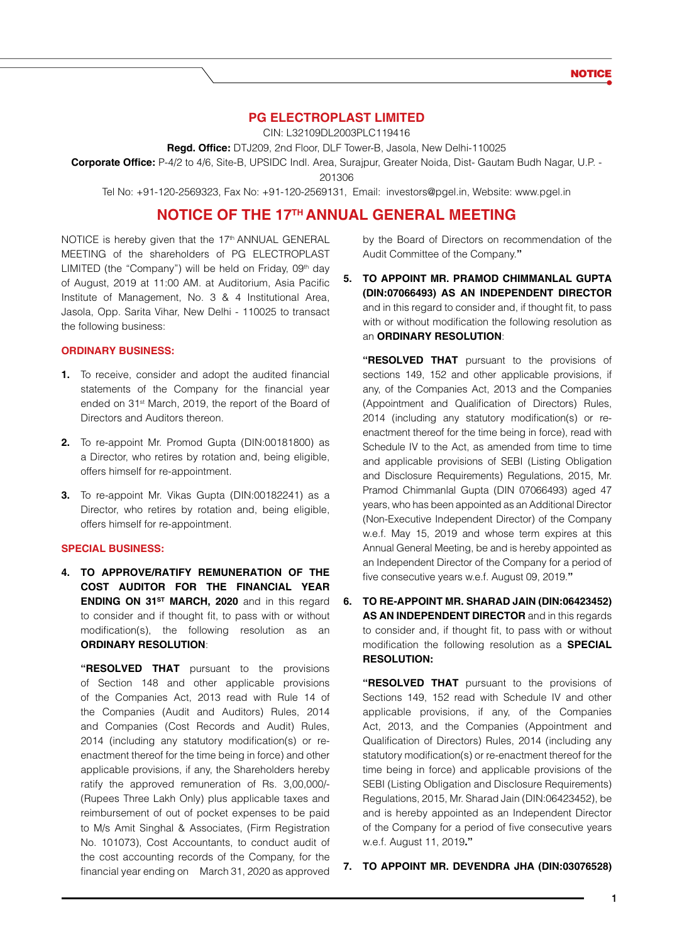# **PG Electroplast Limited**

CIN: L32109DL2003PLC119416

**Regd. Office:** DTJ209, 2nd Floor, DLF Tower-B, Jasola, New Delhi-110025

**Corporate Office:** P-4/2 to 4/6, Site-B, UPSIDC Indl. Area, Surajpur, Greater Noida, Dist- Gautam Budh Nagar, U.P. -

201306

Tel No: +91-120-2569323, Fax No: +91-120-2569131, Email: investors@pgel.in, Website: www.pgel.in

# **NOTICE OF THE 17TH ANNUAL GENERAL MEETING**

NOTICE is hereby given that the 17<sup>th</sup> ANNUAL GENERAL MEETING of the shareholders of PG ELECTROPLAST LIMITED (the "Company") will be held on Friday, 09th day of August, 2019 at 11:00 AM. at Auditorium, Asia Pacific Institute of Management, No. 3 & 4 Institutional Area, Jasola, Opp. Sarita Vihar, New Delhi - 110025 to transact the following business:

# **ORDINARY BUSINESS:**

- **1.** To receive, consider and adopt the audited financial statements of the Company for the financial year ended on 31<sup>st</sup> March, 2019, the report of the Board of Directors and Auditors thereon.
- **2.** To re-appoint Mr. Promod Gupta (DIN:00181800) as a Director, who retires by rotation and, being eligible, offers himself for re-appointment.
- **3.** To re-appoint Mr. Vikas Gupta (DIN:00182241) as a Director, who retires by rotation and, being eligible, offers himself for re-appointment.

#### **SPECIAL BUSINESS:**

**4. TO APPROVE/RATIFY REMUNERATION OF THE COST AUDITOR FOR THE FINANCIAL YEAR ENDING ON 31<sup>st</sup> MARCH, 2020** and in this regard to consider and if thought fit, to pass with or without modification(s), the following resolution as an **ORDINARY RESOLUTION**:

**"RESOLVED THAT** pursuant to the provisions of Section 148 and other applicable provisions of the Companies Act, 2013 read with Rule 14 of the Companies (Audit and Auditors) Rules, 2014 and Companies (Cost Records and Audit) Rules, 2014 (including any statutory modification(s) or reenactment thereof for the time being in force) and other applicable provisions, if any, the Shareholders hereby ratify the approved remuneration of Rs. 3,00,000/- (Rupees Three Lakh Only) plus applicable taxes and reimbursement of out of pocket expenses to be paid to M/s Amit Singhal & Associates, (Firm Registration No. 101073), Cost Accountants, to conduct audit of the cost accounting records of the Company, for the financial year ending on March 31, 2020 as approved by the Board of Directors on recommendation of the Audit Committee of the Company.**"**

**5. TO APPOINT MR. PRAMOD CHIMMANLAL GUPTA (DIN:07066493) AS AN INDEPENDENT DIRECTOR** and in this regard to consider and, if thought fit, to pass with or without modification the following resolution as an **ORDINARY RESOLUTION**:

**"RESOLVED THAT** pursuant to the provisions of sections 149, 152 and other applicable provisions, if any, of the Companies Act, 2013 and the Companies (Appointment and Qualification of Directors) Rules, 2014 (including any statutory modification(s) or reenactment thereof for the time being in force), read with Schedule IV to the Act, as amended from time to time and applicable provisions of SEBI (Listing Obligation and Disclosure Requirements) Regulations, 2015, Mr. Pramod Chimmanlal Gupta (DIN 07066493) aged 47 years, who has been appointed as an Additional Director (Non-Executive Independent Director) of the Company w.e.f. May 15, 2019 and whose term expires at this Annual General Meeting, be and is hereby appointed as an Independent Director of the Company for a period of five consecutive years w.e.f. August 09, 2019.**"**

**6. TO RE-APPOINT MR. SHARAD JAIN (DIN:06423452) AS AN INDEPENDENT DIRECTOR** and in this regards to consider and, if thought fit, to pass with or without modification the following resolution as a **SPECIAL RESOLUTION:**

**"RESOLVED THAT** pursuant to the provisions of Sections 149, 152 read with Schedule IV and other applicable provisions, if any, of the Companies Act, 2013, and the Companies (Appointment and Qualification of Directors) Rules, 2014 (including any statutory modification(s) or re-enactment thereof for the time being in force) and applicable provisions of the SEBI (Listing Obligation and Disclosure Requirements) Regulations, 2015, Mr. Sharad Jain (DIN:06423452), be and is hereby appointed as an Independent Director of the Company for a period of five consecutive years w.e.f. August 11, 2019**."**

#### **7. TO APPOINT MR. DEVENDRA JHA (DIN:03076528)**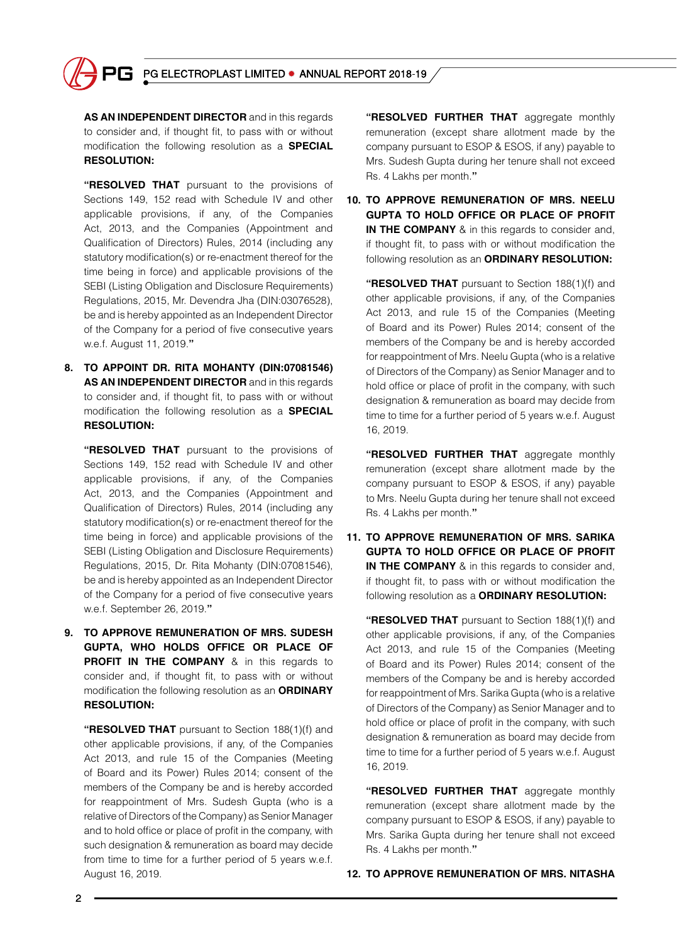

**AS AN INDEPENDENT DIRECTOR** and in this regards to consider and, if thought fit, to pass with or without modification the following resolution as a **SPECIAL RESOLUTION:**

**"RESOLVED THAT** pursuant to the provisions of Sections 149, 152 read with Schedule IV and other applicable provisions, if any, of the Companies Act, 2013, and the Companies (Appointment and Qualification of Directors) Rules, 2014 (including any statutory modification(s) or re-enactment thereof for the time being in force) and applicable provisions of the SEBI (Listing Obligation and Disclosure Requirements) Regulations, 2015, Mr. Devendra Jha (DIN:03076528), be and is hereby appointed as an Independent Director of the Company for a period of five consecutive years w.e.f. August 11, 2019.**"**

**8. TO APPOINT DR. RITA MOHANTY (DIN:07081546) AS AN INDEPENDENT DIRECTOR** and in this regards to consider and, if thought fit, to pass with or without modification the following resolution as a **SPECIAL RESOLUTION:**

**"RESOLVED THAT** pursuant to the provisions of Sections 149, 152 read with Schedule IV and other applicable provisions, if any, of the Companies Act, 2013, and the Companies (Appointment and Qualification of Directors) Rules, 2014 (including any statutory modification(s) or re-enactment thereof for the time being in force) and applicable provisions of the SEBI (Listing Obligation and Disclosure Requirements) Regulations, 2015, Dr. Rita Mohanty (DIN:07081546), be and is hereby appointed as an Independent Director of the Company for a period of five consecutive years w.e.f. September 26, 2019.**"**

**9. TO APPROVE REMUNERATION OF MRS. SUDESH GUPTA, WHO HOLDS OFFICE OR PLACE OF PROFIT IN THE COMPANY** & in this regards to consider and, if thought fit, to pass with or without modification the following resolution as an **ORDINARY RESOLUTION:**

**"RESOLVED THAT** pursuant to Section 188(1)(f) and other applicable provisions, if any, of the Companies Act 2013, and rule 15 of the Companies (Meeting of Board and its Power) Rules 2014; consent of the members of the Company be and is hereby accorded for reappointment of Mrs. Sudesh Gupta (who is a relative of Directors of the Company) as Senior Manager and to hold office or place of profit in the company, with such designation & remuneration as board may decide from time to time for a further period of 5 years w.e.f. August 16, 2019.

**"RESOLVED FURTHER THAT** aggregate monthly remuneration (except share allotment made by the company pursuant to ESOP & ESOS, if any) payable to Mrs. Sudesh Gupta during her tenure shall not exceed Rs. 4 Lakhs per month.**"**

**10. TO APPROVE REMUNERATION OF MRS. NEELU GUPTA TO HOLD OFFICE OR PLACE OF PROFIT IN THE COMPANY** & in this regards to consider and, if thought fit, to pass with or without modification the following resolution as an **ORDINARY RESOLUTION:**

**"RESOLVED THAT** pursuant to Section 188(1)(f) and other applicable provisions, if any, of the Companies Act 2013, and rule 15 of the Companies (Meeting of Board and its Power) Rules 2014; consent of the members of the Company be and is hereby accorded for reappointment of Mrs. Neelu Gupta (who is a relative of Directors of the Company) as Senior Manager and to hold office or place of profit in the company, with such designation & remuneration as board may decide from time to time for a further period of 5 years w.e.f. August 16, 2019.

**"RESOLVED FURTHER THAT** aggregate monthly remuneration (except share allotment made by the company pursuant to ESOP & ESOS, if any) payable to Mrs. Neelu Gupta during her tenure shall not exceed Rs. 4 Lakhs per month.**"**

**11. TO APPROVE REMUNERATION OF MRS. SARIKA GUPTA TO HOLD OFFICE OR PLACE OF PROFIT IN THE COMPANY** & in this regards to consider and, if thought fit, to pass with or without modification the following resolution as a **ORDINARY RESOLUTION:**

**"RESOLVED THAT** pursuant to Section 188(1)(f) and other applicable provisions, if any, of the Companies Act 2013, and rule 15 of the Companies (Meeting of Board and its Power) Rules 2014; consent of the members of the Company be and is hereby accorded for reappointment of Mrs. Sarika Gupta (who is a relative of Directors of the Company) as Senior Manager and to hold office or place of profit in the company, with such designation & remuneration as board may decide from time to time for a further period of 5 years w.e.f. August 16, 2019.

**"RESOLVED FURTHER THAT** aggregate monthly remuneration (except share allotment made by the company pursuant to ESOP & ESOS, if any) payable to Mrs. Sarika Gupta during her tenure shall not exceed Rs. 4 Lakhs per month.**"**

# **12. TO APPROVE REMUNERATION OF MRS. NITASHA**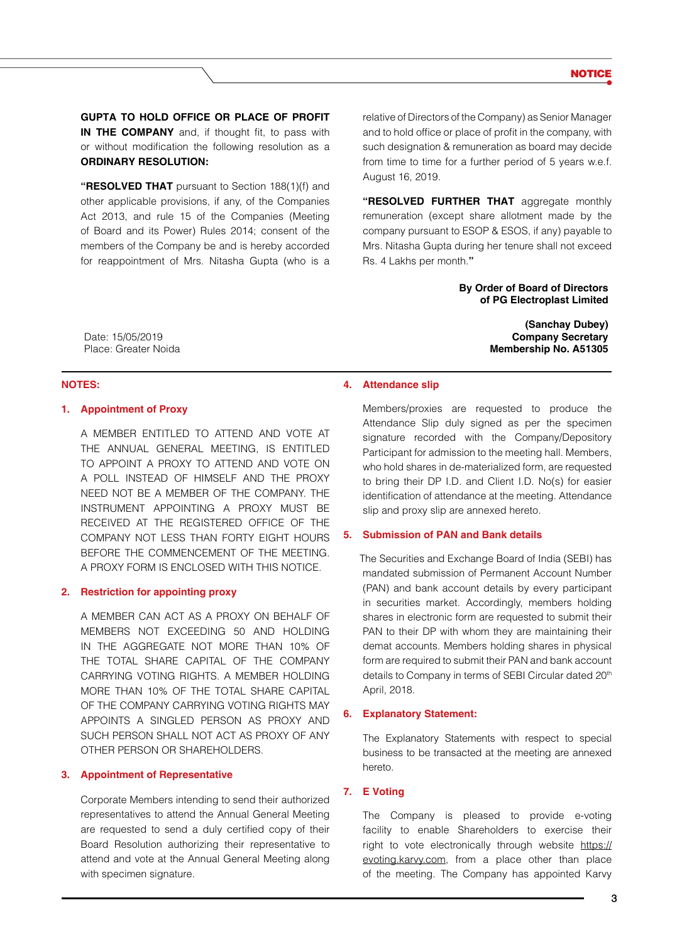**GUPTA TO HOLD OFFICE OR PLACE OF PROFIT IN THE COMPANY** and, if thought fit, to pass with or without modification the following resolution as a **ORDINARY RESOLUTION:**

**"RESOLVED THAT** pursuant to Section 188(1)(f) and other applicable provisions, if any, of the Companies Act 2013, and rule 15 of the Companies (Meeting of Board and its Power) Rules 2014; consent of the members of the Company be and is hereby accorded for reappointment of Mrs. Nitasha Gupta (who is a relative of Directors of the Company) as Senior Manager and to hold office or place of profit in the company, with such designation & remuneration as board may decide from time to time for a further period of 5 years w.e.f. August 16, 2019.

**"RESOLVED FURTHER THAT** aggregate monthly remuneration (except share allotment made by the company pursuant to ESOP & ESOS, if any) payable to Mrs. Nitasha Gupta during her tenure shall not exceed Rs. 4 Lakhs per month.**"**

> **By Order of Board of Directors of PG Electroplast Limited**

> > **(Sanchay Dubey) Company Secretary Membership No. A51305**

Date: 15/05/2019 Place: Greater Noida

#### **NOTES:**

# **1. Appointment of Proxy**

A MEMBER ENTITLED TO ATTEND AND VOTE AT THE ANNUAL GENERAL MEETING, IS ENTITLED TO APPOINT A PROXY TO ATTEND AND VOTE ON A POLL INSTEAD OF HIMSELF AND THE PROXY NEED NOT BE A MEMBER OF THE COMPANY. THE INSTRUMENT APPOINTING A PROXY MUST BE RECEIVED AT THE REGISTERED OFFICE OF THE COMPANY NOT LESS THAN FORTY EIGHT HOURS BEFORE THE COMMENCEMENT OF THE MEETING. A PROXY FORM IS ENCLOSED WITH THIS NOTICE.

#### **2. Restriction for appointing proxy**

A MEMBER CAN ACT AS A PROXY ON BEHALF OF MEMBERS NOT EXCEEDING 50 AND HOLDING IN THE AGGREGATE NOT MORE THAN 10% OF THE TOTAL SHARE CAPITAL OF THE COMPANY CARRYING VOTING RIGHTS. A MEMBER HOLDING MORE THAN 10% OF THE TOTAL SHARE CAPITAL OF THE COMPANY CARRYING VOTING RIGHTS MAY APPOINTS A SINGLED PERSON AS PROXY AND SUCH PERSON SHALL NOT ACT AS PROXY OF ANY OTHER PERSON OR SHAREHOLDERS.

#### **3. Appointment of Representative**

Corporate Members intending to send their authorized representatives to attend the Annual General Meeting are requested to send a duly certified copy of their Board Resolution authorizing their representative to attend and vote at the Annual General Meeting along with specimen signature.

#### **4. Attendance slip**

Members/proxies are requested to produce the Attendance Slip duly signed as per the specimen signature recorded with the Company/Depository Participant for admission to the meeting hall. Members, who hold shares in de-materialized form, are requested to bring their DP I.D. and Client I.D. No(s) for easier identification of attendance at the meeting. Attendance slip and proxy slip are annexed hereto.

# **5. Submission of PAN and Bank details**

The Securities and Exchange Board of India (SEBI) has mandated submission of Permanent Account Number (PAN) and bank account details by every participant in securities market. Accordingly, members holding shares in electronic form are requested to submit their PAN to their DP with whom they are maintaining their demat accounts. Members holding shares in physical form are required to submit their PAN and bank account details to Company in terms of SEBI Circular dated 20<sup>th</sup> April, 2018.

#### **6. Explanatory Statement:**

The Explanatory Statements with respect to special business to be transacted at the meeting are annexed hereto.

# **7. E Voting**

The Company is pleased to provide e-voting facility to enable Shareholders to exercise their right to vote electronically through website https:// evoting.karvy.com, from a place other than place of the meeting. The Company has appointed Karvy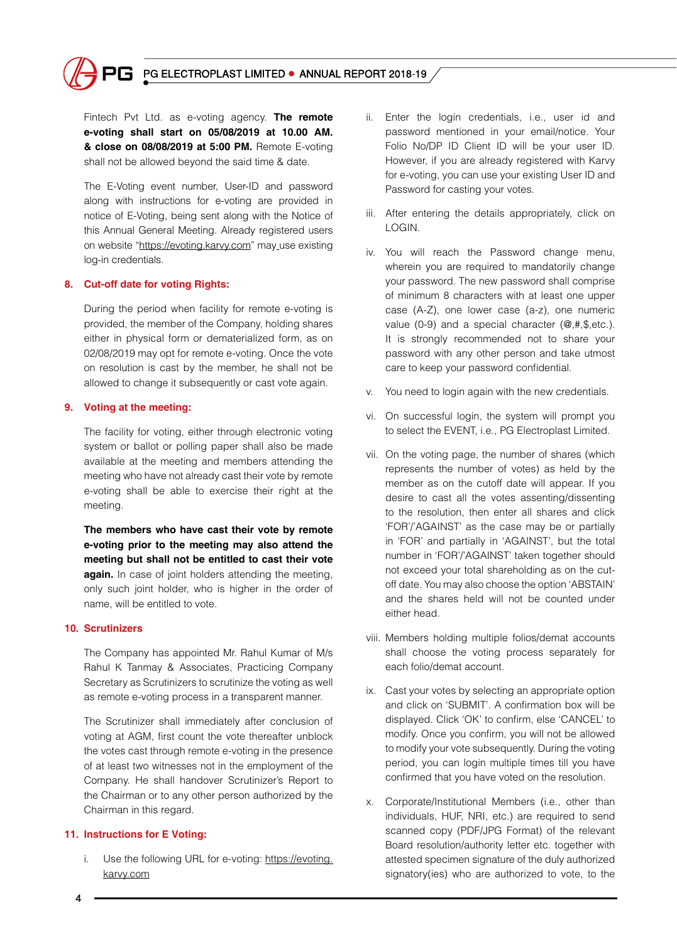

Fintech Pvt Ltd. as e-voting agency. **The remote e-voting shall start on 05/08/2019 at 10.00 AM. & close on 08/08/2019 at 5:00 PM.** Remote E-voting shall not be allowed beyond the said time & date.

The E-Voting event number, User-ID and password along with instructions for e-voting are provided in notice of E-Voting, being sent along with the Notice of this Annual General Meeting. Already registered users on website "https://evoting.karvy.com" may use existing log-in credentials.

# **8. Cut-off date for voting Rights:**

During the period when facility for remote e-voting is provided, the member of the Company, holding shares either in physical form or dematerialized form, as on 02/08/2019 may opt for remote e-voting. Once the vote on resolution is cast by the member, he shall not be allowed to change it subsequently or cast vote again.

# **9. Voting at the meeting:**

The facility for voting, either through electronic voting system or ballot or polling paper shall also be made available at the meeting and members attending the meeting who have not already cast their vote by remote e-voting shall be able to exercise their right at the meeting.

**The members who have cast their vote by remote e-voting prior to the meeting may also attend the meeting but shall not be entitled to cast their vote again.** In case of joint holders attending the meeting, only such joint holder, who is higher in the order of name, will be entitled to vote.

# **10. Scrutinizers**

The Company has appointed Mr. Rahul Kumar of M/s Rahul K Tanmay & Associates, Practicing Company Secretary as Scrutinizers to scrutinize the voting as well as remote e-voting process in a transparent manner.

The Scrutinizer shall immediately after conclusion of voting at AGM, first count the vote thereafter unblock the votes cast through remote e-voting in the presence of at least two witnesses not in the employment of the Company. He shall handover Scrutinizer's Report to the Chairman or to any other person authorized by the Chairman in this regard.

# **11. Instructions for E Voting:**

i. Use the following URL for e-voting: https://evoting. karvy.com

- ii. Enter the login credentials, i.e., user id and password mentioned in your email/notice. Your Folio No/DP ID Client ID will be your user ID. However, if you are already registered with Karvy for e-voting, you can use your existing User ID and Password for casting your votes.
- iii. After entering the details appropriately, click on LOGIN.
- iv. You will reach the Password change menu, wherein you are required to mandatorily change your password. The new password shall comprise of minimum 8 characters with at least one upper case (A-Z), one lower case (a-z), one numeric value (0-9) and a special character (@,#,\$,etc.). It is strongly recommended not to share your password with any other person and take utmost care to keep your password confidential.
- v. You need to login again with the new credentials.
- vi. On successful login, the system will prompt you to select the EVENT, i.e., PG Electroplast Limited.
- vii. On the voting page, the number of shares (which represents the number of votes) as held by the member as on the cutoff date will appear. If you desire to cast all the votes assenting/dissenting to the resolution, then enter all shares and click 'FOR'/'AGAINST' as the case may be or partially in 'FOR' and partially in 'AGAINST', but the total number in 'FOR'/'AGAINST' taken together should not exceed your total shareholding as on the cutoff date. You may also choose the option 'ABSTAIN' and the shares held will not be counted under either head.
- viii. Members holding multiple folios/demat accounts shall choose the voting process separately for each folio/demat account.
- ix. Cast your votes by selecting an appropriate option and click on 'SUBMIT'. A confirmation box will be displayed. Click 'OK' to confirm, else 'CANCEL' to modify. Once you confirm, you will not be allowed to modify your vote subsequently. During the voting period, you can login multiple times till you have confirmed that you have voted on the resolution.
- x. Corporate/Institutional Members (i.e., other than individuals, HUF, NRI, etc.) are required to send scanned copy (PDF/JPG Format) of the relevant Board resolution/authority letter etc. together with attested specimen signature of the duly authorized signatory(ies) who are authorized to vote, to the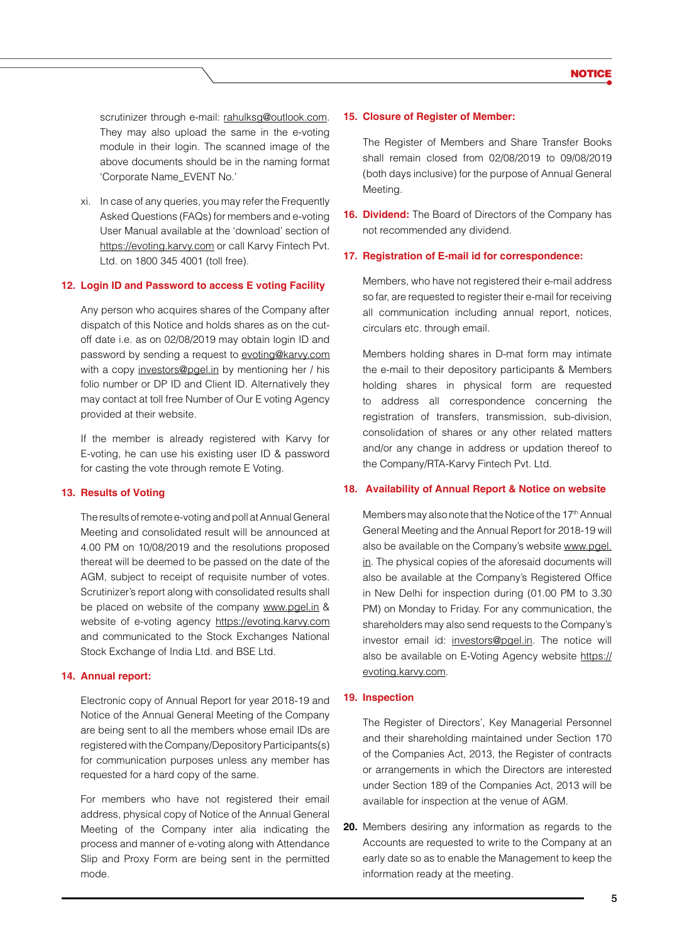scrutinizer through e-mail: rahulksg@outlook.com. They may also upload the same in the e-voting module in their login. The scanned image of the above documents should be in the naming format 'Corporate Name\_EVENT No.'

xi. In case of any queries, you may refer the Frequently Asked Questions (FAQs) for members and e-voting User Manual available at the 'download' section of https://evoting.karvy.com or call Karvy Fintech Pvt. Ltd. on 1800 345 4001 (toll free).

#### **12. Login ID and Password to access E voting Facility**

Any person who acquires shares of the Company after dispatch of this Notice and holds shares as on the cutoff date i.e. as on 02/08/2019 may obtain login ID and password by sending a request to evoting@karvy.com with a copy investors@pgel.in by mentioning her / his folio number or DP ID and Client ID. Alternatively they may contact at toll free Number of Our E voting Agency provided at their website.

If the member is already registered with Karvy for E-voting, he can use his existing user ID & password for casting the vote through remote E Voting.

# **13. Results of Voting**

The results of remote e-voting and poll at Annual General Meeting and consolidated result will be announced at 4.00 PM on 10/08/2019 and the resolutions proposed thereat will be deemed to be passed on the date of the AGM, subject to receipt of requisite number of votes. Scrutinizer's report along with consolidated results shall be placed on website of the company www.pgel.in & website of e-voting agency https://evoting.karvy.com and communicated to the Stock Exchanges National Stock Exchange of India Ltd. and BSE Ltd.

#### **14. Annual report:**

Electronic copy of Annual Report for year 2018-19 and Notice of the Annual General Meeting of the Company are being sent to all the members whose email IDs are registered with the Company/Depository Participants(s) for communication purposes unless any member has requested for a hard copy of the same.

For members who have not registered their email address, physical copy of Notice of the Annual General Meeting of the Company inter alia indicating the process and manner of e-voting along with Attendance Slip and Proxy Form are being sent in the permitted mode.

#### **15. Closure of Register of Member:**

The Register of Members and Share Transfer Books shall remain closed from 02/08/2019 to 09/08/2019 (both days inclusive) for the purpose of Annual General Meeting.

**16. Dividend:** The Board of Directors of the Company has not recommended any dividend.

#### **17. Registration of E-mail id for correspondence:**

Members, who have not registered their e-mail address so far, are requested to register their e-mail for receiving all communication including annual report, notices, circulars etc. through email.

Members holding shares in D-mat form may intimate the e-mail to their depository participants & Members holding shares in physical form are requested to address all correspondence concerning the registration of transfers, transmission, sub-division, consolidation of shares or any other related matters and/or any change in address or updation thereof to the Company/RTA-Karvy Fintech Pvt. Ltd.

#### **18. Availability of Annual Report & Notice on website**

Members may also note that the Notice of the 17<sup>th</sup> Annual General Meeting and the Annual Report for 2018-19 will also be available on the Company's website www.pgel. in. The physical copies of the aforesaid documents will also be available at the Company's Registered Office in New Delhi for inspection during (01.00 PM to 3.30 PM) on Monday to Friday. For any communication, the shareholders may also send requests to the Company's investor email id: investors@pgel.in. The notice will also be available on E-Voting Agency website https:// evoting.karvy.com.

#### **19. Inspection**

The Register of Directors', Key Managerial Personnel and their shareholding maintained under Section 170 of the Companies Act, 2013, the Register of contracts or arrangements in which the Directors are interested under Section 189 of the Companies Act, 2013 will be available for inspection at the venue of AGM.

**20.** Members desiring any information as regards to the Accounts are requested to write to the Company at an early date so as to enable the Management to keep the information ready at the meeting.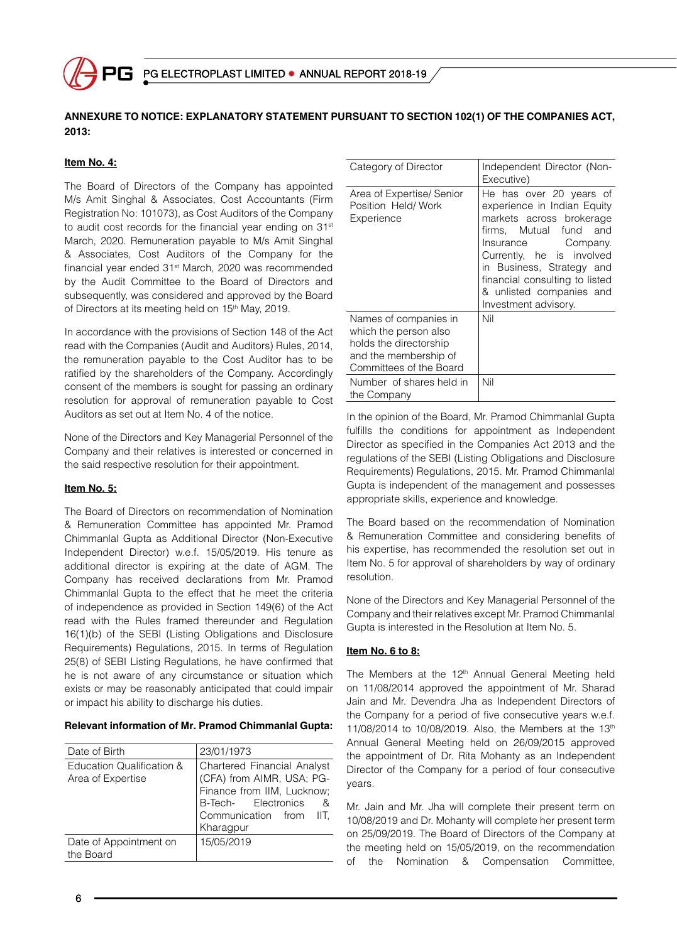

# **ANNEXURE TO NOTICE: EXPLANATORY STATEMENT PURSUANT TO SECTION 102(1) OF THE COMPANIES ACT, 2013:**

# **Item No. 4:**

The Board of Directors of the Company has appointed M/s Amit Singhal & Associates, Cost Accountants (Firm Registration No: 101073), as Cost Auditors of the Company to audit cost records for the financial year ending on 31<sup>st</sup> March, 2020. Remuneration payable to M/s Amit Singhal & Associates, Cost Auditors of the Company for the financial year ended 31st March, 2020 was recommended by the Audit Committee to the Board of Directors and subsequently, was considered and approved by the Board of Directors at its meeting held on 15<sup>th</sup> May, 2019.

In accordance with the provisions of Section 148 of the Act read with the Companies (Audit and Auditors) Rules, 2014, the remuneration payable to the Cost Auditor has to be ratified by the shareholders of the Company. Accordingly consent of the members is sought for passing an ordinary resolution for approval of remuneration payable to Cost Auditors as set out at Item No. 4 of the notice.

None of the Directors and Key Managerial Personnel of the Company and their relatives is interested or concerned in the said respective resolution for their appointment.

# **Item No. 5:**

The Board of Directors on recommendation of Nomination & Remuneration Committee has appointed Mr. Pramod Chimmanlal Gupta as Additional Director (Non-Executive Independent Director) w.e.f. 15/05/2019. His tenure as additional director is expiring at the date of AGM. The Company has received declarations from Mr. Pramod Chimmanlal Gupta to the effect that he meet the criteria of independence as provided in Section 149(6) of the Act read with the Rules framed thereunder and Regulation 16(1)(b) of the SEBI (Listing Obligations and Disclosure Requirements) Regulations, 2015. In terms of Regulation 25(8) of SEBI Listing Regulations, he have confirmed that he is not aware of any circumstance or situation which exists or may be reasonably anticipated that could impair or impact his ability to discharge his duties.

# **Relevant information of Mr. Pramod Chimmanlal Gupta:**

| Date of Birth                                  | 23/01/1973                                                                                                                                                      |
|------------------------------------------------|-----------------------------------------------------------------------------------------------------------------------------------------------------------------|
| Education Qualification &<br>Area of Expertise | Chartered Financial Analyst<br>(CFA) from AIMR, USA; PG-<br>Finance from IIM, Lucknow;<br>B-Tech- Electronics<br>- &<br>Communication from<br>IIT.<br>Kharagpur |
| Date of Appointment on<br>the Board            | 15/05/2019                                                                                                                                                      |

| Category of Director                                                                                                         | Independent Director (Non-<br>Executive)                                                                                                                                                                                                                                           |
|------------------------------------------------------------------------------------------------------------------------------|------------------------------------------------------------------------------------------------------------------------------------------------------------------------------------------------------------------------------------------------------------------------------------|
| Area of Expertise/ Senior<br>Position Held/Work<br>Experience                                                                | He has over 20 years of<br>experience in Indian Equity<br>markets across brokerage<br>firms, Mutual fund and<br>Insurance Company.<br>Currently, he is involved<br>in Business, Strategy and<br>financial consulting to listed<br>& unlisted companies and<br>Investment advisory. |
| Names of companies in<br>which the person also<br>holds the directorship<br>and the membership of<br>Committees of the Board | Nil                                                                                                                                                                                                                                                                                |
| Number of shares held in<br>the Company                                                                                      | Nil                                                                                                                                                                                                                                                                                |

In the opinion of the Board, Mr. Pramod Chimmanlal Gupta fulfills the conditions for appointment as Independent Director as specified in the Companies Act 2013 and the regulations of the SEBI (Listing Obligations and Disclosure Requirements) Regulations, 2015. Mr. Pramod Chimmanlal Gupta is independent of the management and possesses appropriate skills, experience and knowledge.

The Board based on the recommendation of Nomination & Remuneration Committee and considering benefits of his expertise, has recommended the resolution set out in Item No. 5 for approval of shareholders by way of ordinary resolution.

None of the Directors and Key Managerial Personnel of the Company and their relatives except Mr. Pramod Chimmanlal Gupta is interested in the Resolution at Item No. 5.

# **Item No. 6 to 8:**

The Members at the 12<sup>th</sup> Annual General Meeting held on 11/08/2014 approved the appointment of Mr. Sharad Jain and Mr. Devendra Jha as Independent Directors of the Company for a period of five consecutive years w.e.f. 11/08/2014 to 10/08/2019. Also, the Members at the  $13<sup>th</sup>$ Annual General Meeting held on 26/09/2015 approved the appointment of Dr. Rita Mohanty as an Independent Director of the Company for a period of four consecutive years.

Mr. Jain and Mr. Jha will complete their present term on 10/08/2019 and Dr. Mohanty will complete her present term on 25/09/2019. The Board of Directors of the Company at the meeting held on 15/05/2019, on the recommendation of the Nomination & Compensation Committee,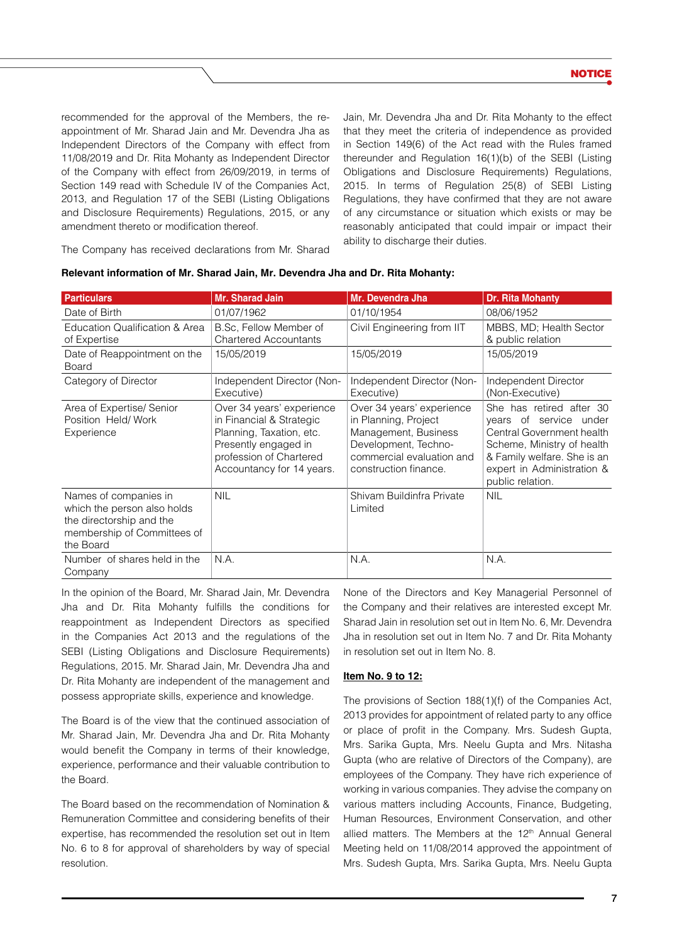recommended for the approval of the Members, the reappointment of Mr. Sharad Jain and Mr. Devendra Jha as Independent Directors of the Company with effect from 11/08/2019 and Dr. Rita Mohanty as Independent Director of the Company with effect from 26/09/2019, in terms of Section 149 read with Schedule IV of the Companies Act, 2013, and Regulation 17 of the SEBI (Listing Obligations and Disclosure Requirements) Regulations, 2015, or any amendment thereto or modification thereof.

Jain, Mr. Devendra Jha and Dr. Rita Mohanty to the effect that they meet the criteria of independence as provided in Section 149(6) of the Act read with the Rules framed thereunder and Regulation 16(1)(b) of the SEBI (Listing Obligations and Disclosure Requirements) Regulations, 2015. In terms of Regulation 25(8) of SEBI Listing Regulations, they have confirmed that they are not aware of any circumstance or situation which exists or may be reasonably anticipated that could impair or impact their ability to discharge their duties.

The Company has received declarations from Mr. Sharad

| <b>Particulars</b>                                                                                                           | Mr. Sharad Jain                                                                                                                                                   | Mr. Devendra Jha                                                                                                                                        | <b>Dr. Rita Mohanty</b>                                                                                                                                                                        |
|------------------------------------------------------------------------------------------------------------------------------|-------------------------------------------------------------------------------------------------------------------------------------------------------------------|---------------------------------------------------------------------------------------------------------------------------------------------------------|------------------------------------------------------------------------------------------------------------------------------------------------------------------------------------------------|
| Date of Birth                                                                                                                | 01/07/1962                                                                                                                                                        | 01/10/1954                                                                                                                                              | 08/06/1952                                                                                                                                                                                     |
| Education Qualification & Area<br>of Expertise                                                                               | B.Sc. Fellow Member of<br><b>Chartered Accountants</b>                                                                                                            | Civil Engineering from IIT                                                                                                                              | MBBS, MD; Health Sector<br>& public relation                                                                                                                                                   |
| Date of Reappointment on the<br>Board                                                                                        | 15/05/2019                                                                                                                                                        | 15/05/2019                                                                                                                                              | 15/05/2019                                                                                                                                                                                     |
| Category of Director                                                                                                         | Independent Director (Non-<br>Executive)                                                                                                                          | Independent Director (Non-<br>Executive)                                                                                                                | Independent Director<br>(Non-Executive)                                                                                                                                                        |
| Area of Expertise/ Senior<br>Position Held/Work<br>Experience                                                                | Over 34 years' experience<br>in Financial & Strategic<br>Planning, Taxation, etc.<br>Presently engaged in<br>profession of Chartered<br>Accountancy for 14 years. | Over 34 years' experience<br>in Planning, Project<br>Management, Business<br>Development, Techno-<br>commercial evaluation and<br>construction finance. | She has retired after 30<br>years of service under<br>Central Government health<br>Scheme, Ministry of health<br>& Family welfare. She is an<br>expert in Administration &<br>public relation. |
| Names of companies in<br>which the person also holds<br>the directorship and the<br>membership of Committees of<br>the Board | <b>NIL</b>                                                                                                                                                        | Shivam Buildinfra Private<br>Limited                                                                                                                    | <b>NIL</b>                                                                                                                                                                                     |
| Number of shares held in the<br>Company                                                                                      | N.A.                                                                                                                                                              | N.A.                                                                                                                                                    | N.A.                                                                                                                                                                                           |

| Relevant information of Mr. Sharad Jain, Mr. Devendra Jha and Dr. Rita Mohanty: |  |  |
|---------------------------------------------------------------------------------|--|--|
|---------------------------------------------------------------------------------|--|--|

In the opinion of the Board, Mr. Sharad Jain, Mr. Devendra Jha and Dr. Rita Mohanty fulfills the conditions for reappointment as Independent Directors as specified in the Companies Act 2013 and the regulations of the SEBI (Listing Obligations and Disclosure Requirements) Regulations, 2015. Mr. Sharad Jain, Mr. Devendra Jha and Dr. Rita Mohanty are independent of the management and possess appropriate skills, experience and knowledge.

The Board is of the view that the continued association of Mr. Sharad Jain, Mr. Devendra Jha and Dr. Rita Mohanty would benefit the Company in terms of their knowledge, experience, performance and their valuable contribution to the Board.

The Board based on the recommendation of Nomination & Remuneration Committee and considering benefits of their expertise, has recommended the resolution set out in Item No. 6 to 8 for approval of shareholders by way of special resolution.

None of the Directors and Key Managerial Personnel of the Company and their relatives are interested except Mr. Sharad Jain in resolution set out in Item No. 6, Mr. Devendra Jha in resolution set out in Item No. 7 and Dr. Rita Mohanty in resolution set out in Item No. 8.

# **Item No. 9 to 12:**

The provisions of Section 188(1)(f) of the Companies Act, 2013 provides for appointment of related party to any office or place of profit in the Company. Mrs. Sudesh Gupta, Mrs. Sarika Gupta, Mrs. Neelu Gupta and Mrs. Nitasha Gupta (who are relative of Directors of the Company), are employees of the Company. They have rich experience of working in various companies. They advise the company on various matters including Accounts, Finance, Budgeting, Human Resources, Environment Conservation, and other allied matters. The Members at the 12<sup>th</sup> Annual General Meeting held on 11/08/2014 approved the appointment of Mrs. Sudesh Gupta, Mrs. Sarika Gupta, Mrs. Neelu Gupta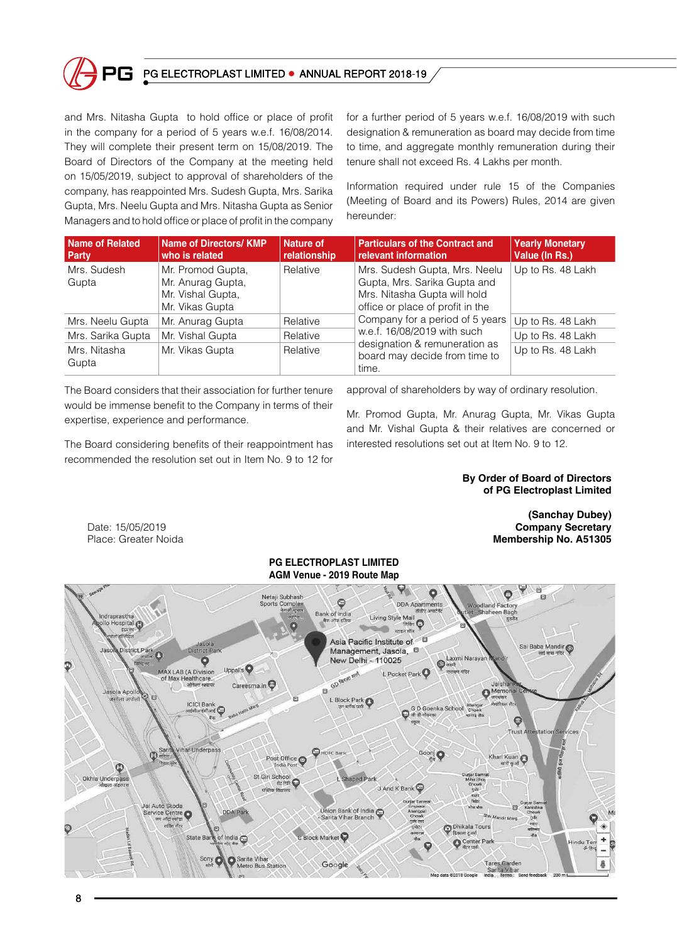

# PG ELECTROPLAST LIMITED . ANNUAL REPORT 2018-19

and Mrs. Nitasha Gupta to hold office or place of profit in the company for a period of 5 years w.e.f. 16/08/2014. They will complete their present term on 15/08/2019. The Board of Directors of the Company at the meeting held on 15/05/2019, subject to approval of shareholders of the company, has reappointed Mrs. Sudesh Gupta, Mrs. Sarika Gupta, Mrs. Neelu Gupta and Mrs. Nitasha Gupta as Senior Managers and to hold office or place of profit in the company for a further period of 5 years w.e.f. 16/08/2019 with such designation & remuneration as board may decide from time to time, and aggregate monthly remuneration during their tenure shall not exceed Rs. 4 Lakhs per month.

Information required under rule 15 of the Companies (Meeting of Board and its Powers) Rules, 2014 are given hereunder:

| <b>Name of Related</b><br>Party | <b>Name of Directors/ KMP</b><br>who is related                                | Nature of<br>relationship | <b>Particulars of the Contract and</b><br>relevant information                                                                    | <b>Yearly Monetary</b><br>Value (In Rs.) |
|---------------------------------|--------------------------------------------------------------------------------|---------------------------|-----------------------------------------------------------------------------------------------------------------------------------|------------------------------------------|
| Mrs. Sudesh<br>Gupta            | Mr. Promod Gupta,<br>Mr. Anurag Gupta,<br>Mr. Vishal Gupta,<br>Mr. Vikas Gupta | Relative                  | Mrs. Sudesh Gupta, Mrs. Neelu<br>Gupta, Mrs. Sarika Gupta and<br>Mrs. Nitasha Gupta will hold<br>office or place of profit in the | Up to Rs. 48 Lakh                        |
| Mrs. Neelu Gupta                | Mr. Anurag Gupta                                                               | Relative                  | Company for a period of 5 years                                                                                                   | Up to Rs. 48 Lakh                        |
| Mrs. Sarika Gupta               | Mr. Vishal Gupta                                                               | Relative                  | w.e.f. 16/08/2019 with such                                                                                                       | Up to Rs. 48 Lakh                        |
| Mrs. Nitasha<br>Gupta           | Mr. Vikas Gupta                                                                | Relative                  | designation & remuneration as<br>board may decide from time to<br>time.                                                           | Up to Rs. 48 Lakh                        |

The Board considers that their association for further tenure would be immense benefit to the Company in terms of their expertise, experience and performance.

The Board considering benefits of their reappointment has recommended the resolution set out in Item No. 9 to 12 for

approval of shareholders by way of ordinary resolution.

Mr. Promod Gupta, Mr. Anurag Gupta, Mr. Vikas Gupta and Mr. Vishal Gupta & their relatives are concerned or interested resolutions set out at Item No. 9 to 12.

#### **By Order of Board of Directors of PG Electroplast Limited**

Date: 15/05/2019 Place: Greater Noida

**(Sanchay Dubey) Company Secretary Membership No. A51305**

# **PG Electroplast Limited AGM Venue - 2019 Route Map**

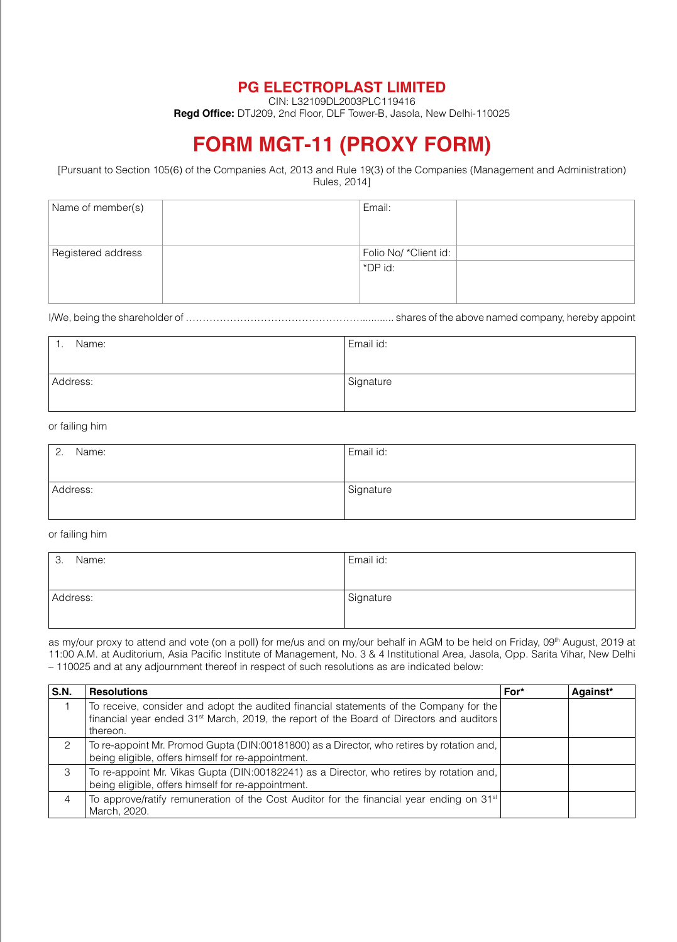# **PG ELECTROPLAST LIMITED**

CIN: L32109DL2003PLC119416

**Regd Office:** DTJ209, 2nd Floor, DLF Tower-B, Jasola, New Delhi-110025

# **FORM MGT-11 (PROXY FORM)**

[Pursuant to Section 105(6) of the Companies Act, 2013 and Rule 19(3) of the Companies (Management and Administration) Rules, 2014]

| Name of member(s)  | Email:                |
|--------------------|-----------------------|
| Registered address | Folio No/ *Client id: |
|                    | ∣ *DP id:             |
|                    |                       |

I/We, being the shareholder of ……………………………………………............ shares of the above named company, hereby appoint

| Name:    | Email id: |
|----------|-----------|
| Address: | Signature |

# or failing him

| Name:<br>$\overline{2}$ . | Email id: |
|---------------------------|-----------|
|                           |           |
| Address:                  | Signature |
|                           |           |

#### or failing him

| Name:<br>-3. | Email id: |
|--------------|-----------|
|              |           |
| Address:     | Signature |
|              |           |

as my/our proxy to attend and vote (on a poll) for me/us and on my/our behalf in AGM to be held on Friday, 09th August, 2019 at 11:00 A.M. at Auditorium, Asia Pacific Institute of Management, No. 3 & 4 Institutional Area, Jasola, Opp. Sarita Vihar, New Delhi – 110025 and at any adjournment thereof in respect of such resolutions as are indicated below:

| S.N. | <b>Resolutions</b>                                                                                                                                                                               | For* | Against* |
|------|--------------------------------------------------------------------------------------------------------------------------------------------------------------------------------------------------|------|----------|
|      | To receive, consider and adopt the audited financial statements of the Company for the<br>financial year ended $31st$ March, 2019, the report of the Board of Directors and auditors<br>thereon. |      |          |
| 2    | To re-appoint Mr. Promod Gupta (DIN:00181800) as a Director, who retires by rotation and,<br>being eligible, offers himself for re-appointment.                                                  |      |          |
| 3    | To re-appoint Mr. Vikas Gupta (DIN:00182241) as a Director, who retires by rotation and,<br>being eligible, offers himself for re-appointment.                                                   |      |          |
| 4    | To approve/ratify remuneration of the Cost Auditor for the financial year ending on 31 <sup>st</sup><br>March, 2020.                                                                             |      |          |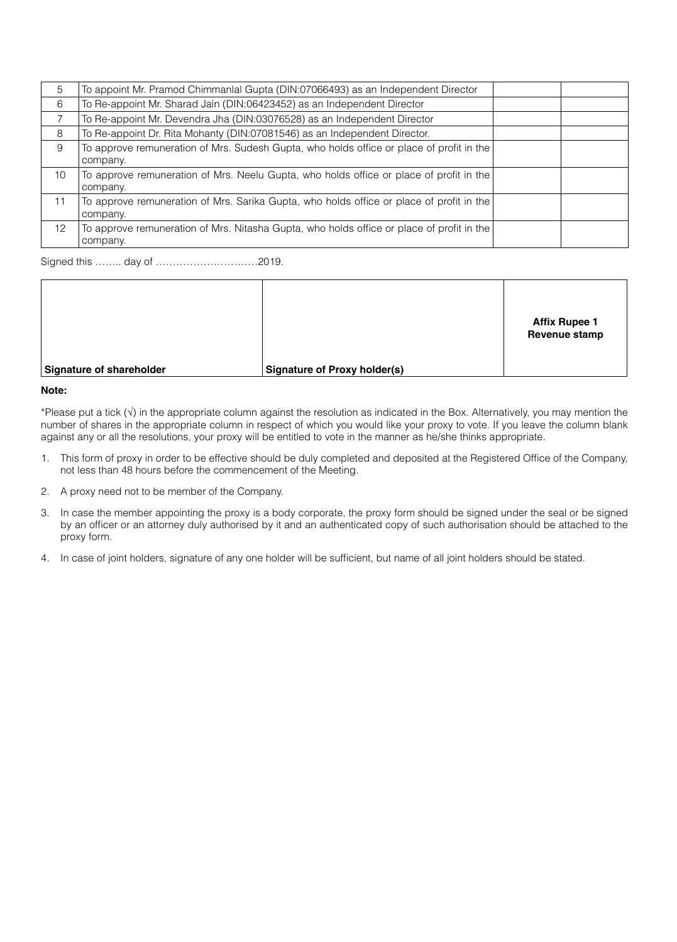| 5  | To appoint Mr. Pramod Chimmanlal Gupta (DIN:07066493) as an Independent Director                      |  |
|----|-------------------------------------------------------------------------------------------------------|--|
| 6  | To Re-appoint Mr. Sharad Jain (DIN:06423452) as an Independent Director                               |  |
|    | To Re-appoint Mr. Devendra Jha (DIN:03076528) as an Independent Director                              |  |
| 8  | To Re-appoint Dr. Rita Mohanty (DIN:07081546) as an Independent Director.                             |  |
| 9  | To approve remuneration of Mrs. Sudesh Gupta, who holds office or place of profit in the              |  |
|    | company.                                                                                              |  |
| 10 | To approve remuneration of Mrs. Neelu Gupta, who holds office or place of profit in the<br>company.   |  |
| 11 | To approve remuneration of Mrs. Sarika Gupta, who holds office or place of profit in the<br>company.  |  |
| 12 | To approve remuneration of Mrs. Nitasha Gupta, who holds office or place of profit in the<br>company. |  |

Signed this …….. day of …………………………2019.

|                          |                              | <b>Affix Rupee 1</b><br>Revenue stamp |
|--------------------------|------------------------------|---------------------------------------|
| Signature of shareholder | Signature of Proxy holder(s) |                                       |

#### **Note:**

\*Please put a tick (√) in the appropriate column against the resolution as indicated in the Box. Alternatively, you may mention the number of shares in the appropriate column in respect of which you would like your proxy to vote. If you leave the column blank against any or all the resolutions, your proxy will be entitled to vote in the manner as he/she thinks appropriate.

- 1. This form of proxy in order to be effective should be duly completed and deposited at the Registered Office of the Company, not less than 48 hours before the commencement of the Meeting.
- 2. A proxy need not to be member of the Company.
- 3. In case the member appointing the proxy is a body corporate, the proxy form should be signed under the seal or be signed by an officer or an attorney duly authorised by it and an authenticated copy of such authorisation should be attached to the proxy form.
- 4. In case of joint holders, signature of any one holder will be sufficient, but name of all joint holders should be stated.